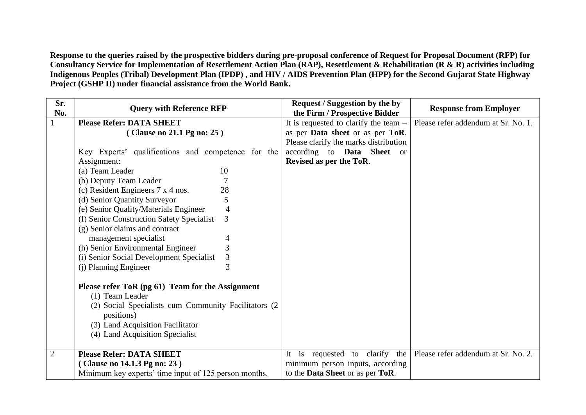**Response to the queries raised by the prospective bidders during pre-proposal conference of Request for Proposal Document (RFP) for Consultancy Service for Implementation of Resettlement Action Plan (RAP), Resettlement & Rehabilitation (R & R) activities including Indigenous Peoples (Tribal) Development Plan (IPDP) , and HIV / AIDS Prevention Plan (HPP) for the Second Gujarat State Highway Project (GSHP II) under financial assistance from the World Bank.**

| Sr.<br>No.     | <b>Query with Reference RFP</b>                                                                                                                                                                                   | <b>Request / Suggestion by the by</b><br>the Firm / Prospective Bidder | <b>Response from Employer</b>       |
|----------------|-------------------------------------------------------------------------------------------------------------------------------------------------------------------------------------------------------------------|------------------------------------------------------------------------|-------------------------------------|
|                | <b>Please Refer: DATA SHEET</b>                                                                                                                                                                                   | It is requested to clarify the team $-$                                | Please refer addendum at Sr. No. 1. |
|                | (Clause no 21.1 Pg no: 25)                                                                                                                                                                                        | as per Data sheet or as per ToR.                                       |                                     |
|                |                                                                                                                                                                                                                   | Please clarify the marks distribution                                  |                                     |
|                | Key Experts' qualifications and competence for the                                                                                                                                                                | according to <b>Data</b> Sheet or                                      |                                     |
|                | Assignment:                                                                                                                                                                                                       | Revised as per the ToR.                                                |                                     |
|                | (a) Team Leader<br>10                                                                                                                                                                                             |                                                                        |                                     |
|                | (b) Deputy Team Leader                                                                                                                                                                                            |                                                                        |                                     |
|                | (c) Resident Engineers 7 x 4 nos.<br>28                                                                                                                                                                           |                                                                        |                                     |
|                | (d) Senior Quantity Surveyor<br>5                                                                                                                                                                                 |                                                                        |                                     |
|                | (e) Senior Quality/Materials Engineer<br>4                                                                                                                                                                        |                                                                        |                                     |
|                | 3<br>(f) Senior Construction Safety Specialist                                                                                                                                                                    |                                                                        |                                     |
|                | (g) Senior claims and contract                                                                                                                                                                                    |                                                                        |                                     |
|                | management specialist                                                                                                                                                                                             |                                                                        |                                     |
|                | (h) Senior Environmental Engineer<br>3                                                                                                                                                                            |                                                                        |                                     |
|                | 3<br>(i) Senior Social Development Specialist                                                                                                                                                                     |                                                                        |                                     |
|                | (j) Planning Engineer                                                                                                                                                                                             |                                                                        |                                     |
|                | Please refer ToR (pg 61) Team for the Assignment<br>(1) Team Leader<br>(2) Social Specialists cum Community Facilitators (2)<br>positions)<br>(3) Land Acquisition Facilitator<br>(4) Land Acquisition Specialist |                                                                        |                                     |
| $\overline{2}$ | <b>Please Refer: DATA SHEET</b>                                                                                                                                                                                   | It is requested to clarify<br>the                                      | Please refer addendum at Sr. No. 2. |
|                | (Clause no 14.1.3 Pg no: 23)                                                                                                                                                                                      | minimum person inputs, according                                       |                                     |
|                | Minimum key experts' time input of 125 person months.                                                                                                                                                             | to the Data Sheet or as per ToR.                                       |                                     |